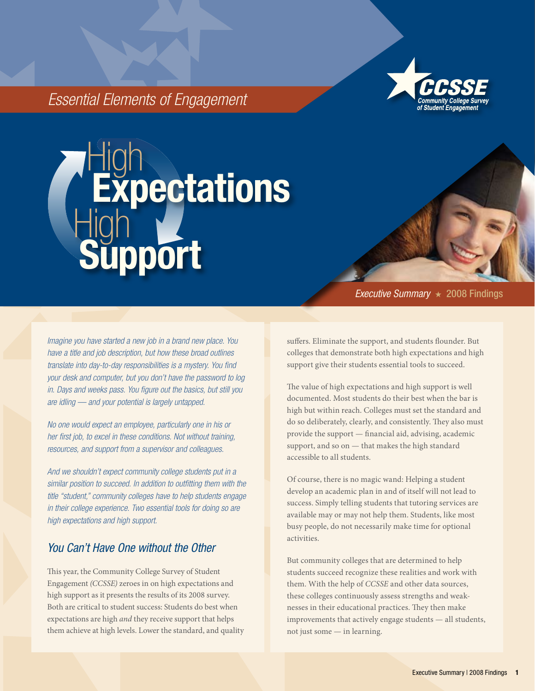

# *Essential Elements of Engagement*

# **High Expectations** High<sup>-</sup> **upport**

*Imagine you have started a new job in a brand new place. You have a title and job description, but how these broad outlines translate into day-to-day responsibilities is a mystery. You find your desk and computer, but you don't have the password to log in. Days and weeks pass. You figure out the basics, but still you are idling — and your potential is largely untapped.* 

*No one would expect an employee, particularly one in his or her first job, to excel in these conditions. Not without training, resources, and support from a supervisor and colleagues.*

*And we shouldn't expect community college students put in a similar position to succeed. In addition to outfitting them with the title "student," community colleges have to help students engage in their college experience. Two essential tools for doing so are high expectations and high support.*

# *You Can't Have One without the Other*

This year, the Community College Survey of Student Engagement *(CCSSE)* zeroes in on high expectations and high support as it presents the results of its 2008 survey. Both are critical to student success: Students do best when expectations are high *and* they receive support that helps them achieve at high levels. Lower the standard, and quality *Executive Summary* ★ 2008 Findings

suffers. Eliminate the support, and students flounder. But colleges that demonstrate both high expectations and high support give their students essential tools to succeed.

The value of high expectations and high support is well documented. Most students do their best when the bar is high but within reach. Colleges must set the standard and do so deliberately, clearly, and consistently. They also must provide the support — financial aid, advising, academic support, and so on — that makes the high standard accessible to all students.

Of course, there is no magic wand: Helping a student develop an academic plan in and of itself will not lead to success. Simply telling students that tutoring services are available may or may not help them. Students, like most busy people, do not necessarily make time for optional activities.

But community colleges that are determined to help students succeed recognize these realities and work with them. With the help of *CCSSE* and other data sources, these colleges continuously assess strengths and weaknesses in their educational practices. They then make improvements that actively engage students — all students, not just some — in learning.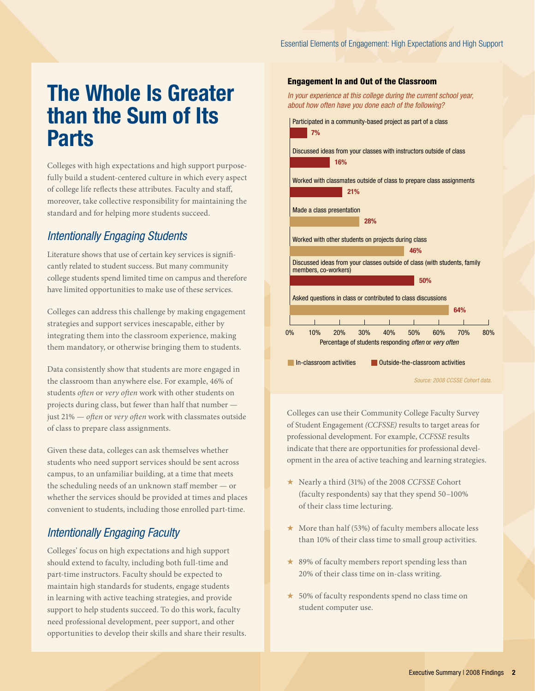# The Whole Is Greater than the Sum of Its Parts

Colleges with high expectations and high support purposefully build a student-centered culture in which every aspect of college life reflects these attributes. Faculty and staff, moreover, take collective responsibility for maintaining the standard and for helping more students succeed.

### *Intentionally Engaging Students*

Literature shows that use of certain key services is significantly related to student success. But many community college students spend limited time on campus and therefore have limited opportunities to make use of these services.

Colleges can address this challenge by making engagement strategies and support services inescapable, either by integrating them into the classroom experience, making them mandatory, or otherwise bringing them to students.

Data consistently show that students are more engaged in the classroom than anywhere else. For example, 46% of students *often* or *very often* work with other students on projects during class, but fewer than half that number just 21% — *often* or *very often* work with classmates outside of class to prepare class assignments.

Given these data, colleges can ask themselves whether students who need support services should be sent across campus, to an unfamiliar building, at a time that meets the scheduling needs of an unknown staff member — or whether the services should be provided at times and places convenient to students, including those enrolled part-time.

# *Intentionally Engaging Faculty*

Colleges' focus on high expectations and high support should extend to faculty, including both full-time and part-time instructors. Faculty should be expected to maintain high standards for students, engage students in learning with active teaching strategies, and provide support to help students succeed. To do this work, faculty need professional development, peer support, and other opportunities to develop their skills and share their results.

#### Engagement In and Out of the Classroom

*In your experience at this college during the current school year, about how often have you done each of the following?*



Colleges can use their Community College Faculty Survey of Student Engagement *(CCFSSE)* results to target areas for professional development. For example, *CCFSSE* results indicate that there are opportunities for professional development in the area of active teaching and learning strategies.

- ★ Nearly a third (31%) of the 2008 *CCFSSE* Cohort (faculty respondents) say that they spend 50–100% of their class time lecturing.
- ★ More than half (53%) of faculty members allocate less than 10% of their class time to small group activities.
- ★ 89% of faculty members report spending less than 20% of their class time on in-class writing.
- ★ 50% of faculty respondents spend no class time on student computer use.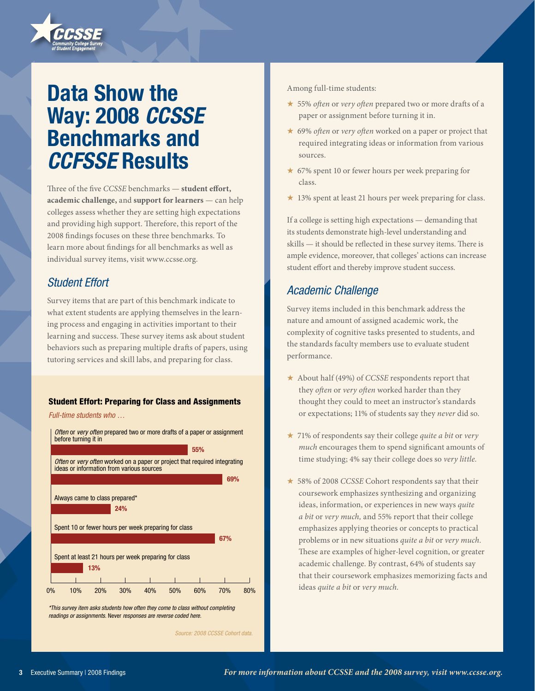# Data Show the Way: 2008 *CCSSE* Benchmarks and *CCFSSE* Results

Three of the five *CCSSE* benchmarks — **student effort, academic challenge,** and **support for learners** — can help colleges assess whether they are setting high expectations and providing high support. Therefore, this report of the 2008 findings focuses on these three benchmarks. To learn more about findings for all benchmarks as well as individual survey items, visit www.ccsse.org.

# *Student Effort*

Survey items that are part of this benchmark indicate to what extent students are applying themselves in the learning process and engaging in activities important to their learning and success. These survey items ask about student behaviors such as preparing multiple drafts of papers, using tutoring services and skill labs, and preparing for class.

#### Student Effort: Preparing for Class and Assignments

*Full-time students who …*



*\*This survey item asks students how often they come to class without completing readings or assignments.* Never *responses are reverse coded here.*

*Source: 2008 CCSSE Cohort data.*

Among full-time students:

- ★ 55% *often* or *very often* prepared two or more drafts of a paper or assignment before turning it in.
- ★ 69% *often* or *very often* worked on a paper or project that required integrating ideas or information from various sources.
- ★ 67% spent 10 or fewer hours per week preparing for class.
- $\star$  13% spent at least 21 hours per week preparing for class.

If a college is setting high expectations — demanding that its students demonstrate high-level understanding and skills — it should be reflected in these survey items. There is ample evidence, moreover, that colleges' actions can increase student effort and thereby improve student success.

# *Academic Challenge*

Survey items included in this benchmark address the nature and amount of assigned academic work, the complexity of cognitive tasks presented to students, and the standards faculty members use to evaluate student performance.

- ★ About half (49%) of *CCSSE* respondents report that they *often* or *very often* worked harder than they thought they could to meet an instructor's standards or expectations; 11% of students say they *never* did so.
- ★ 71% of respondents say their college *quite a bit* or *very much* encourages them to spend significant amounts of time studying; 4% say their college does so *very little.*
- ★ 58% of 2008 *CCSSE* Cohort respondents say that their coursework emphasizes synthesizing and organizing ideas, information, or experiences in new ways *quite a bit* or *very much,* and 55% report that their college emphasizes applying theories or concepts to practical problems or in new situations *quite a bit* or *very much.*  These are examples of higher-level cognition, or greater academic challenge. By contrast, 64% of students say that their coursework emphasizes memorizing facts and ideas *quite a bit* or *very much.*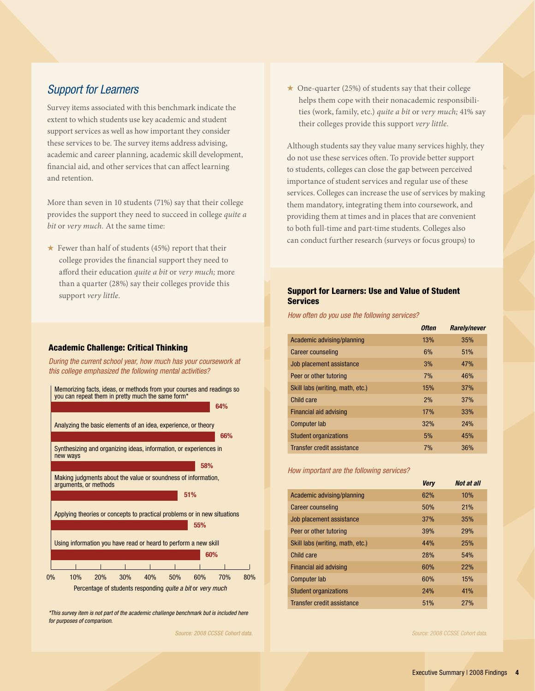### *Support for Learners*

Survey items associated with this benchmark indicate the extent to which students use key academic and student support services as well as how important they consider these services to be. The survey items address advising, academic and career planning, academic skill development, financial aid, and other services that can affect learning and retention.

More than seven in 10 students (71%) say that their college provides the support they need to succeed in college *quite a bit* or *very much.* At the same time:

 $\star$  Fewer than half of students (45%) report that their college provides the financial support they need to afford their education *quite a bit* or *very much;* more than a quarter (28%) say their colleges provide this support *very little.*

#### Academic Challenge: Critical Thinking

*During the current school year, how much has your coursework at this college emphasized the following mental activities?*



*\*This survey item is not part of the academic challenge benchmark but is included here for purposes of comparison.*

*Source: 2008 CCSSE Cohort data.*

 $\star$  One-quarter (25%) of students say that their college helps them cope with their nonacademic responsibilities (work, family, etc.) *quite a bit* or *very much;* 41% say their colleges provide this support *very little.*

Although students say they value many services highly, they do not use these services often. To provide better support to students, colleges can close the gap between perceived importance of student services and regular use of these services. Colleges can increase the use of services by making them mandatory, integrating them into coursework, and providing them at times and in places that are convenient to both full-time and part-time students. Colleges also can conduct further research (surveys or focus groups) to

#### Support for Learners: Use and Value of Student Services

*How often do you use the following services?*

|                                  | <b>Often</b> | <b>Rarely/never</b> |
|----------------------------------|--------------|---------------------|
| Academic advising/planning       | 13%          | 35%                 |
| Career counseling                | 6%           | 51%                 |
| Job placement assistance         | 3%           | 47%                 |
| Peer or other tutoring           | 7%           | 46%                 |
| Skill labs (writing, math, etc.) | 15%          | 37%                 |
| Child care                       | 2%           | 37%                 |
| Financial aid advising           | <b>17%</b>   | 33%                 |
| <b>Computer lab</b>              | 32%          | <b>24%</b>          |
| <b>Student organizations</b>     | 5%           | 45%                 |
| Transfer credit assistance       | 7%           | 36%                 |

#### *How important are the following services?*

|                                  | <b>Very</b> | Not at all |
|----------------------------------|-------------|------------|
| Academic advising/planning       | 62%         | 10%        |
| Career counseling                | 50%         | <b>21%</b> |
| Job placement assistance         | 37%         | 35%        |
| Peer or other tutoring           | 39%         | <b>29%</b> |
| Skill labs (writing, math, etc.) | 44%         | <b>25%</b> |
| Child care                       | <b>28%</b>  | 54%        |
| Financial aid advising           | 60%         | <b>22%</b> |
| Computer lab                     | 60%         | 15%        |
| <b>Student organizations</b>     | <b>24%</b>  | 41%        |
| Transfer credit assistance       | 51%         | 27%        |

*Source: 2008 CCSSE Cohort data.*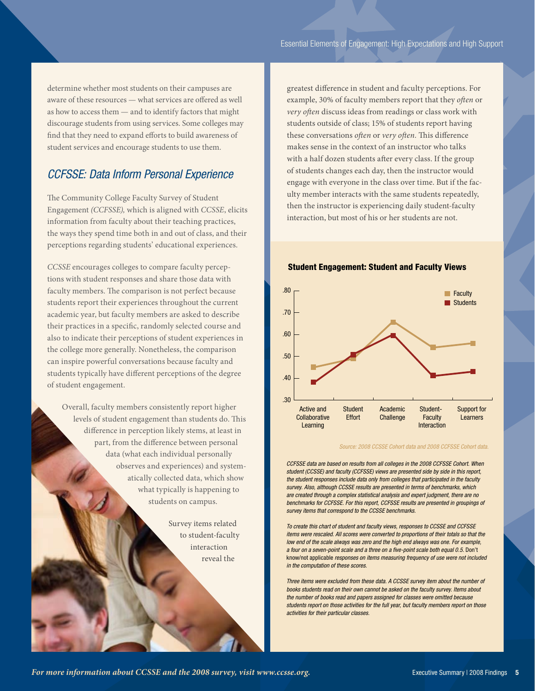determine whether most students on their campuses are aware of these resources — what services are offered as well as how to access them — and to identify factors that might discourage students from using services. Some colleges may find that they need to expand efforts to build awareness of student services and encourage students to use them.

# *CCFSSE: Data Inform Personal Experience*

The Community College Faculty Survey of Student Engagement *(CCFSSE),* which is aligned with *CCSSE*, elicits information from faculty about their teaching practices, the ways they spend time both in and out of class, and their perceptions regarding students' educational experiences.

*CCSSE* encourages colleges to compare faculty perceptions with student responses and share those data with faculty members. The comparison is not perfect because students report their experiences throughout the current academic year, but faculty members are asked to describe their practices in a specific, randomly selected course and also to indicate their perceptions of student experiences in the college more generally. Nonetheless, the comparison can inspire powerful conversations because faculty and students typically have different perceptions of the degree of student engagement.

Overall, faculty members consistently report higher levels of student engagement than students do. This difference in perception likely stems, at least in part, from the difference between personal data (what each individual personally observes and experiences) and systematically collected data, which show what typically is happening to students on campus.

> Survey items related to student-faculty interaction reveal the

greatest difference in student and faculty perceptions. For example, 30% of faculty members report that they *often* or *very often* discuss ideas from readings or class work with students outside of class; 15% of students report having these conversations *often* or *very often.* This difference makes sense in the context of an instructor who talks with a half dozen students after every class. If the group of students changes each day, then the instructor would engage with everyone in the class over time. But if the faculty member interacts with the same students repeatedly, then the instructor is experiencing daily student-faculty interaction, but most of his or her students are not.

#### Student Engagement: Student and Faculty Views

![](_page_4_Figure_9.jpeg)

*Source: 2008 CCSSE Cohort data and 2008 CCFSSE Cohort data.*

*CCFSSE data are based on results from all colleges in the 2008 CCFSSE Cohort. When student (CCSSE) and faculty (CCFSSE) views are presented side by side in this report, the student responses include data only from colleges that participated in the faculty survey. Also, although CCSSE results are presented in terms of benchmarks, which are created through a complex statistical analysis and expert judgment, there are no benchmarks for CCFSSE. For this report, CCFSSE results are presented in groupings of survey items that correspond to the CCSSE benchmarks.*

*To create this chart of student and faculty views, responses to CCSSE and CCFSSE items were rescaled. All scores were converted to proportions of their totals so that the low end of the scale always was zero and the high end always was one. For example, a four on a seven-point scale and a three on a five-point scale both equal 0.5.* Don't know/not applicable *responses on items measuring frequency of use were not included in the computation of these scores.*

*Three items were excluded from these data. A CCSSE survey item about the number of books students read on their own cannot be asked on the faculty survey. Items about the number of books read and papers assigned for classes were omitted because students report on those activities for the full year, but faculty members report on those activities for their particular classes.*